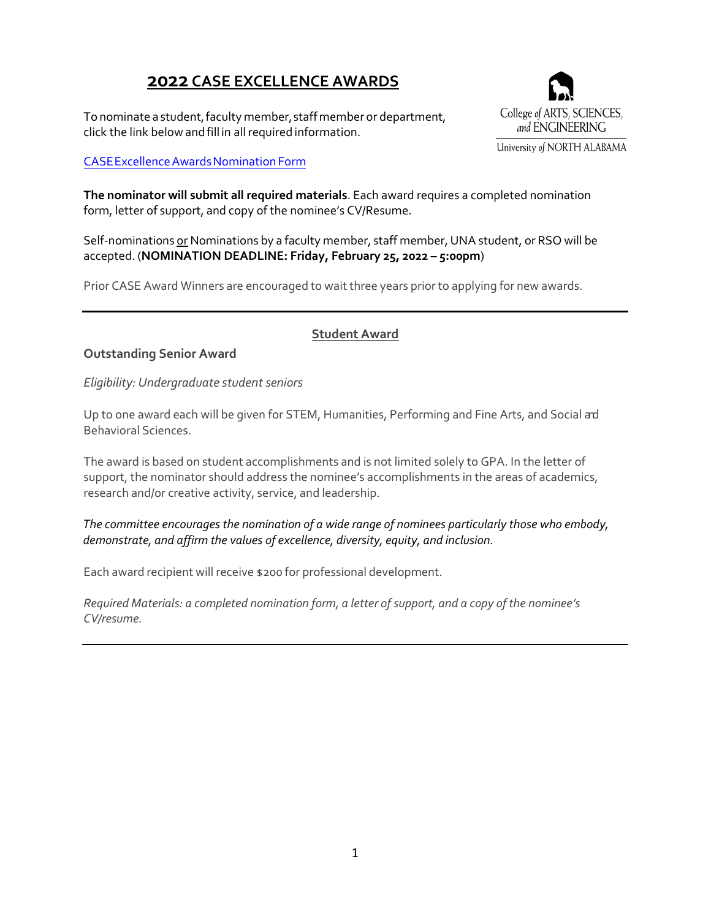# **2022 CASE EXCELLENCE AWARDS**

To nominate a student, faculty member, staff member or department, click the link below and fill in all required information.

### [CASE Excellence Awards Nomination Form](https://una.edu/artsandsciences/Documents/2022-case-excellence-nominee-form.pdf)

College of ARTS, SCIENCES, and ENGINEERING University of NORTH ALABAMA

**The nominator will submit all required materials**. Each award requires a completed nomination form, letter of support, and copy of the nominee's CV/Resume.

Self-nominations or Nominations by a faculty member, staff member, UNA student, or RSO will be accepted. (**NOMINATION DEADLINE: Friday, February 25, 2022 – 5:00pm**)

Prior CASE Award Winners are encouraged to wait three years prior to applying for new awards.

### **Student Award**

### **Outstanding Senior Award**

*Eligibility: Undergraduate student seniors* 

Up to one award each will be given for STEM, Humanities, Performing and Fine Arts, and Social and Behavioral Sciences.

The award is based on student accomplishments and is not limited solely to GPA. In the letter of support, the nominator should address the nominee's accomplishments in the areas of academics, research and/or creative activity, service, and leadership.

 *The committee encourages the nomination of a wide range of nominees particularly those who embody, demonstrate, and affirm the values of excellence, diversity, equity, and inclusion.*

Each award recipient will receive \$200 for professional development.

*Required Materials: a completed nomination form, a letter of support, and a copy of the nominee's CV/resume.*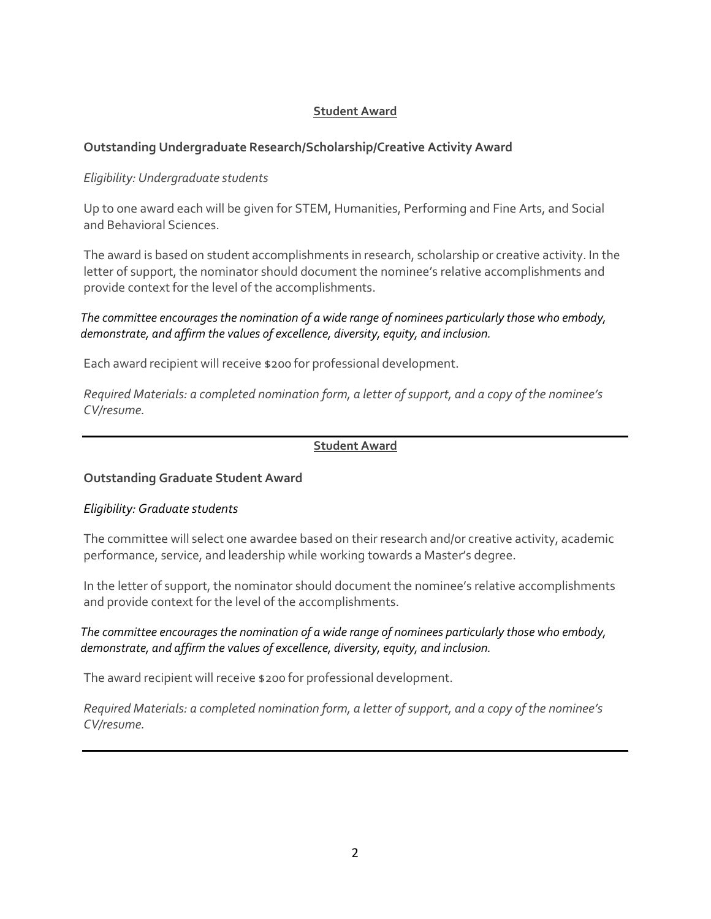### **Student Award**

### **Outstanding Undergraduate Research/Scholarship/Creative Activity Award**

#### *Eligibility: Undergraduate students*

Up to one award each will be given for STEM, Humanities, Performing and Fine Arts, and Social and Behavioral Sciences.

The award is based on student accomplishments in research, scholarship or creative activity. In the letter of support, the nominator should document the nominee's relative accomplishments and provide context for the level of the accomplishments.

### *The committee encouragesthe nomination of a wide range of nominees particularly those who embody, demonstrate, and affirm the values of excellence, diversity, equity, and inclusion.*

Each award recipient will receive \$200 for professional development.

*Required Materials: a completed nomination form, a letter of support, and a copy of the nominee's CV/resume.*

#### **Student Award**

#### **Outstanding Graduate Student Award**

#### *Eligibility: Graduate students*

The committee will select one awardee based on their research and/or creative activity, academic performance, service, and leadership while working towards a Master's degree.

In the letter of support, the nominator should document the nominee's relative accomplishments and provide context for the level of the accomplishments.

### *The committee encouragesthe nomination of a wide range of nominees particularly those who embody, demonstrate, and affirm the values of excellence, diversity, equity, and inclusion.*

The award recipient will receive \$200 for professional development.

*Required Materials: a completed nomination form, a letter of support, and a copy of the nominee's CV/resume.*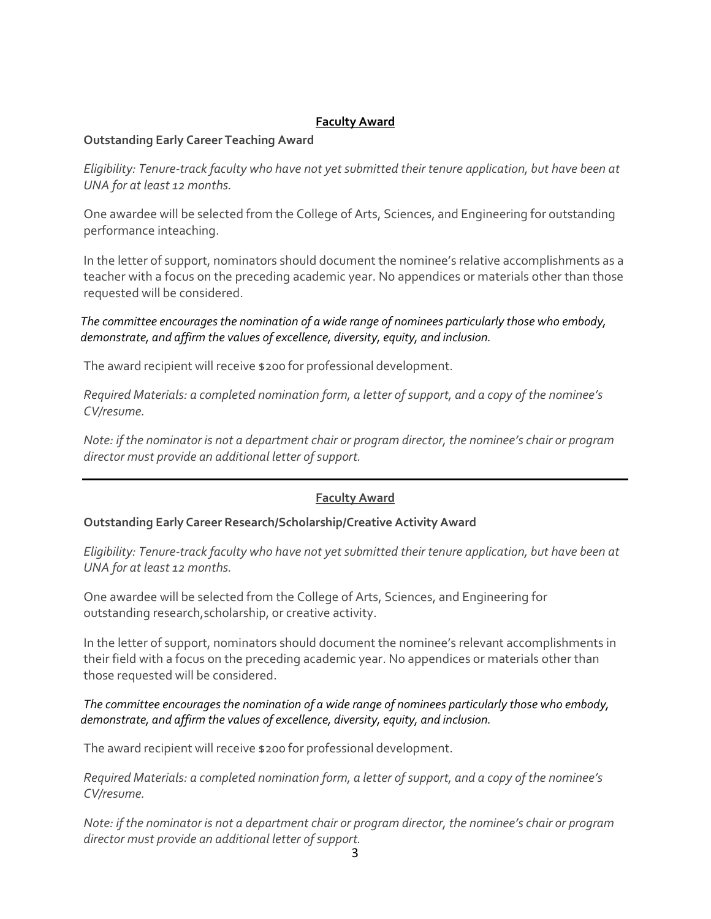### **Faculty Award**

#### **Outstanding Early Career Teaching Award**

*Eligibility: Tenure-track faculty who have not yet submitted their tenure application, but have been at UNA for at least 12 months.*

One awardee will be selected from the College of Arts, Sciences, and Engineering for outstanding performance inteaching.

In the letter of support, nominators should document the nominee's relative accomplishments as a teacher with a focus on the preceding academic year. No appendices or materials other than those requested will be considered.

 *The committee encouragesthe nomination of a wide range of nominees particularly those who embody, demonstrate, and affirm the values of excellence, diversity, equity, and inclusion.*

The award recipient will receive \$200 for professional development.

*Required Materials: a completed nomination form, a letter of support, and a copy of the nominee's CV/resume.*

*Note: if the nominator is not a department chair or program director, the nominee's chair or program director must provide an additional letter ofsupport.*

### **Faculty Award**

#### **Outstanding Early Career Research/Scholarship/Creative Activity Award**

*Eligibility: Tenure-track faculty who have not yet submitted their tenure application, but have been at UNA for at least 12 months.*

One awardee will be selected from the College of Arts, Sciences, and Engineering for outstanding research,scholarship, or creative activity.

In the letter of support, nominators should document the nominee's relevant accomplishments in their field with a focus on the preceding academic year. No appendices or materials other than those requested will be considered.

*The committee encouragesthe nomination of a wide range of nominees particularly those who embody, demonstrate, and affirm the values of excellence, diversity, equity, and inclusion.*

The award recipient will receive \$200 for professional development.

*Required Materials: a completed nomination form, a letter of support, and a copy of the nominee's CV/resume.*

*Note: if the nominator is not a department chair or program director, the nominee's chair or program director must provide an additional letter ofsupport.*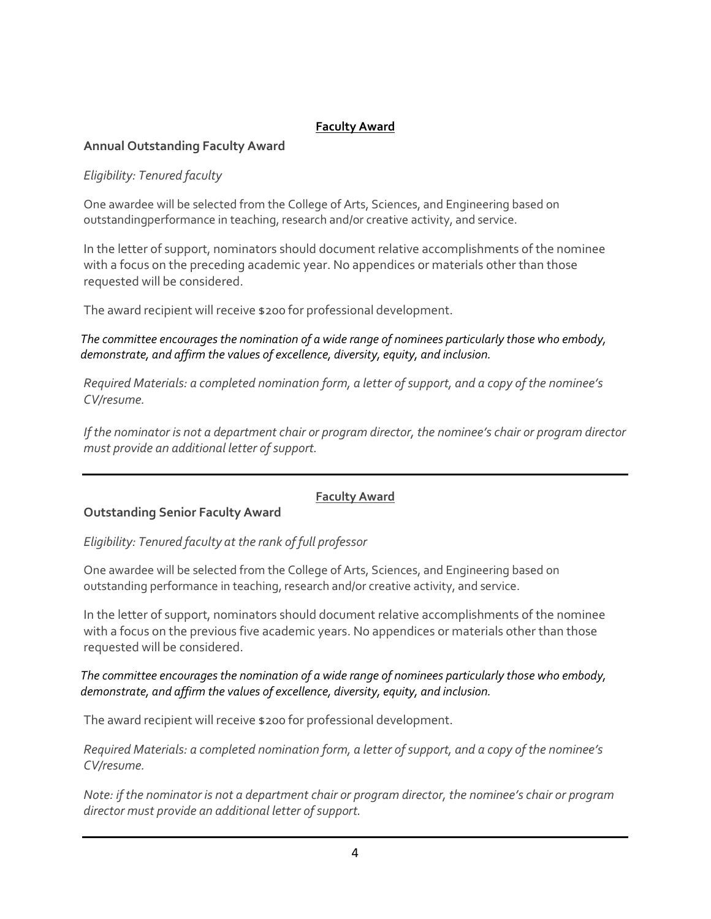# **Faculty Award**

### **Annual Outstanding Faculty Award**

### *Eligibility: Tenured faculty*

One awardee will be selected from the College of Arts, Sciences, and Engineering based on outstandingperformance in teaching, research and/or creative activity, and service.

In the letter of support, nominators should document relative accomplishments of the nominee with a focus on the preceding academic year. No appendices or materials other than those requested will be considered.

The award recipient will receive \$200 for professional development.

 *The committee encouragesthe nomination of a wide range of nominees particularly those who embody, demonstrate, and affirm the values of excellence, diversity, equity, and inclusion.*

*Required Materials: a completed nomination form, a letter of support, and a copy of the nominee's CV/resume.*

*If the nominator is not a department chair or program director, the nominee's chair or program director must provide an additional letter of support.*

### **Faculty Award**

### **Outstanding Senior Faculty Award**

*Eligibility: Tenured faculty at the rank of full professor*

One awardee will be selected from the College of Arts, Sciences, and Engineering based on outstanding performance in teaching, research and/or creative activity, and service.

In the letter of support, nominators should document relative accomplishments of the nominee with a focus on the previous five academic years. No appendices or materials other than those requested will be considered.

### *The committee encouragesthe nomination of a wide range of nominees particularly those who embody, demonstrate, and affirm the values of excellence, diversity, equity, and inclusion.*

The award recipient will receive \$200 for professional development.

*Required Materials: a completed nomination form, a letter of support, and a copy of the nominee's CV/resume.*

*Note: if the nominator is not a department chair or program director, the nominee's chair or program director must provide an additional letter ofsupport.*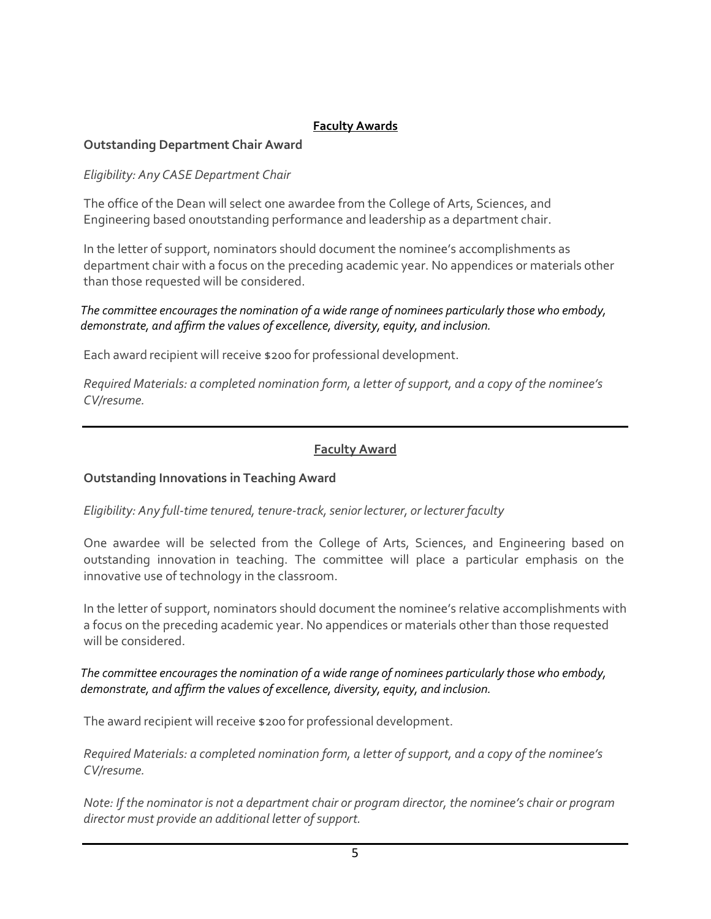# **Faculty Awards**

# **Outstanding Department Chair Award**

*Eligibility: Any CASE Department Chair*

The office of the Dean will select one awardee from the College of Arts, Sciences, and Engineering based onoutstanding performance and leadership as a department chair.

In the letter of support, nominators should document the nominee's accomplishments as department chair with a focus on the preceding academic year. No appendices or materials other than those requested will be considered.

 *The committee encouragesthe nomination of a wide range of nominees particularly those who embody, demonstrate, and affirm the values of excellence, diversity, equity, and inclusion.*

Each award recipient will receive \$200 for professional development.

*Required Materials: a completed nomination form, a letter of support, and a copy of the nominee's CV/resume.*

# **Faculty Award**

# **Outstanding Innovations in Teaching Award**

# *Eligibility: Any full-time tenured, tenure-track,senior lecturer, or lecturer faculty*

One awardee will be selected from the College of Arts, Sciences, and Engineering based on outstanding innovation in teaching. The committee will place a particular emphasis on the innovative use of technology in the classroom.

In the letter of support, nominators should document the nominee's relative accomplishments with a focus on the preceding academic year. No appendices or materials other than those requested will be considered.

### *The committee encouragesthe nomination of a wide range of nominees particularly those who embody, demonstrate, and affirm the values of excellence, diversity, equity, and inclusion.*

The award recipient will receive \$200 for professional development.

*Required Materials: a completed nomination form, a letter of support, and a copy of the nominee's CV/resume.*

*Note: If the nominator is not a department chair or program director, the nominee's chair or program director must provide an additional letter ofsupport.*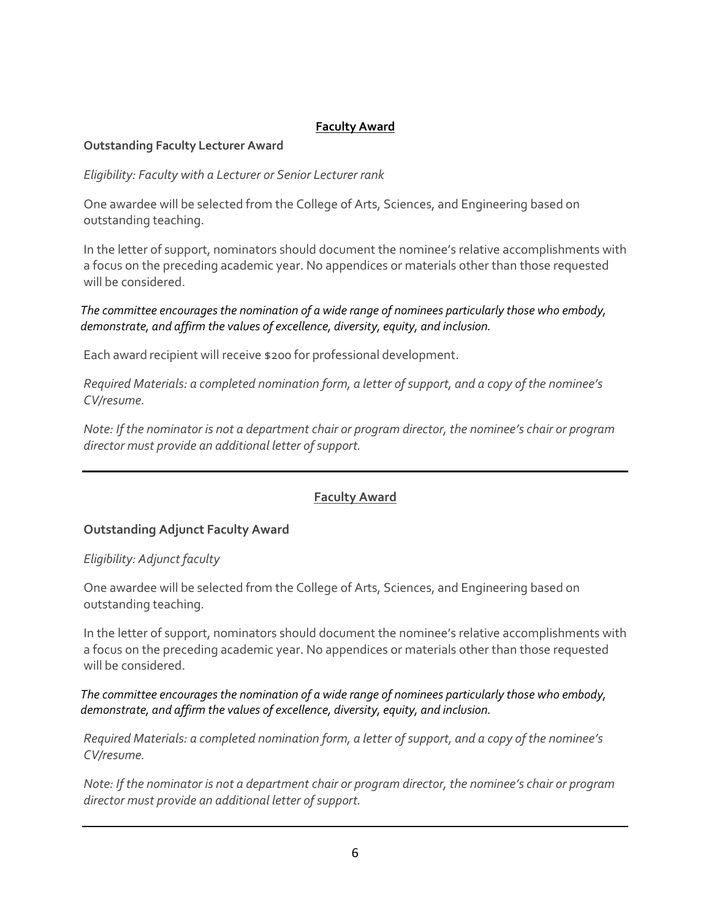# **Faculty Award**

### **Outstanding Faculty Lecturer Award**

*Eligibility: Faculty with a Lecturer or Senior Lecturer rank*

One awardee will be selected from the College of Arts, Sciences, and Engineering based on outstanding teaching.

In the letter of support, nominators should document the nominee's relative accomplishments with a focus on the preceding academic year. No appendices or materials other than those requested will be considered.

### *The committee encouragesthe nomination of a wide range of nominees particularly those who embody, demonstrate, and affirm the values of excellence, diversity, equity, and inclusion.*

Each award recipient will receive \$200 for professional development.

*Required Materials: a completed nomination form, a letter of support, and a copy of the nominee's CV/resume.*

*Note: If the nominator is not a department chair or program director, the nominee's chair or program director must provide an additional letter ofsupport.*

# **Faculty Award**

# **Outstanding Adjunct Faculty Award**

### *Eligibility: Adjunct faculty*

One awardee will be selected from the College of Arts, Sciences, and Engineering based on outstanding teaching.

In the letter of support, nominators should document the nominee's relative accomplishments with a focus on the preceding academic year. No appendices or materials other than those requested will be considered.

 *The committee encouragesthe nomination of a wide range of nominees particularly those who embody, demonstrate, and affirm the values of excellence, diversity, equity, and inclusion.*

*Required Materials: a completed nomination form, a letter of support, and a copy of the nominee's CV/resume.*

*Note: If the nominator is not a department chair or program director, the nominee's chair or program director must provide an additional letter ofsupport.*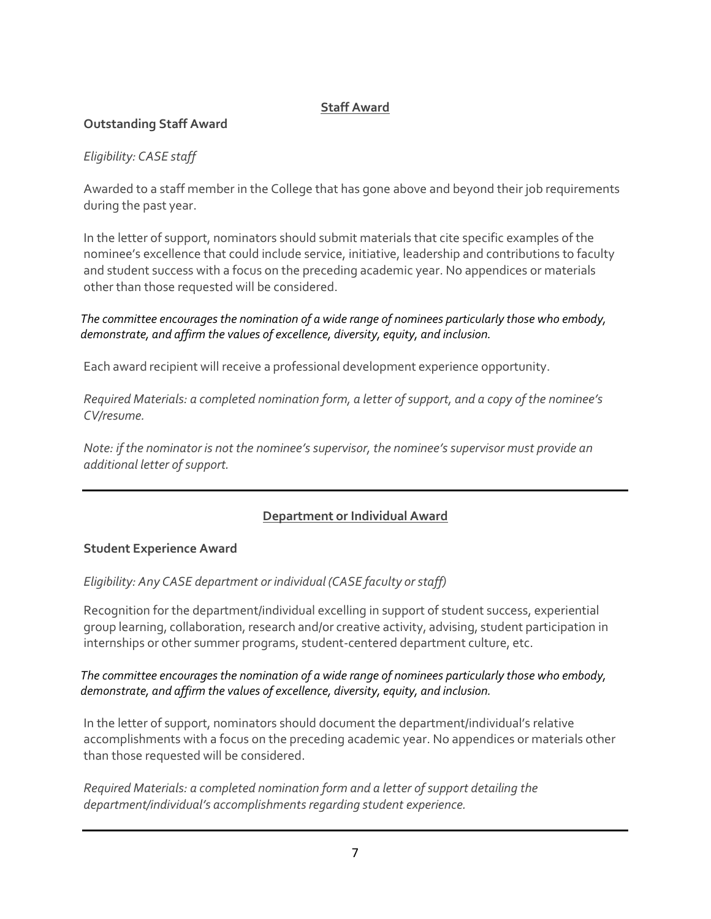# **Staff Award**

# **Outstanding Staff Award**

# *Eligibility: CASE staff*

Awarded to a staff member in the College that has gone above and beyond their job requirements during the past year.

In the letter of support, nominators should submit materials that cite specific examples of the nominee's excellence that could include service, initiative, leadership and contributions to faculty and student success with a focus on the preceding academic year. No appendices or materials other than those requested will be considered.

 *The committee encouragesthe nomination of a wide range of nominees particularly those who embody, demonstrate, and affirm the values of excellence, diversity, equity, and inclusion.*

Each award recipient will receive a professional development experience opportunity.

*Required Materials: a completed nomination form, a letter of support, and a copy of the nominee's CV/resume.*

*Note: if the nominator is not the nominee's supervisor, the nominee's supervisor must provide an additional letter ofsupport.*

# **Department or Individual Award**

### **Student Experience Award**

*Eligibility: Any CASE department or individual (CASE faculty or staff)* 

Recognition for the department/individual excelling in support of student success, experiential group learning, collaboration, research and/or creative activity, advising, student participation in internships or other summer programs, student-centered department culture, etc.

### *The committee encouragesthe nomination of a wide range of nominees particularly those who embody, demonstrate, and affirm the values of excellence, diversity, equity, and inclusion.*

In the letter of support, nominators should document the department/individual's relative accomplishments with a focus on the preceding academic year. No appendices or materials other than those requested will be considered.

*Required Materials: a completed nomination form and a letter of support detailing the department/individual's accomplishmentsregarding student experience.*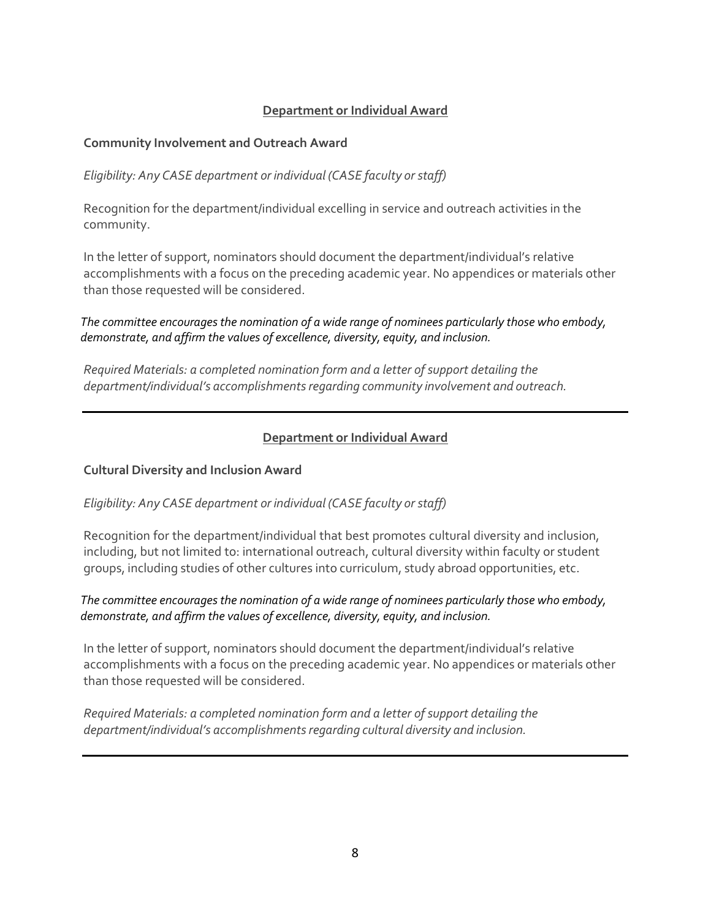# **Department or Individual Award**

### **Community Involvement and Outreach Award**

*Eligibility: Any CASE department or individual (CASE faculty orstaff)*

Recognition for the department/individual excelling in service and outreach activities in the community.

In the letter of support, nominators should document the department/individual's relative accomplishments with a focus on the preceding academic year. No appendices or materials other than those requested will be considered.

 *The committee encouragesthe nomination of a wide range of nominees particularly those who embody, demonstrate, and affirm the values of excellence, diversity, equity, and inclusion.*

*Required Materials: a completed nomination form and a letter of support detailing the department/individual's accomplishmentsregarding community involvement and outreach.*

# **Department or Individual Award**

### **Cultural Diversity and Inclusion Award**

### *Eligibility: Any CASE department or individual (CASE faculty orstaff)*

Recognition for the department/individual that best promotes cultural diversity and inclusion, including, but not limited to: international outreach, cultural diversity within faculty or student groups, including studies of other cultures into curriculum, study abroad opportunities, etc.

### *The committee encouragesthe nomination of a wide range of nominees particularly those who embody, demonstrate, and affirm the values of excellence, diversity, equity, and inclusion.*

In the letter of support, nominators should document the department/individual's relative accomplishments with a focus on the preceding academic year. No appendices or materials other than those requested will be considered.

*Required Materials: a completed nomination form and a letter of support detailing the department/individual's accomplishmentsregarding cultural diversity and inclusion.*